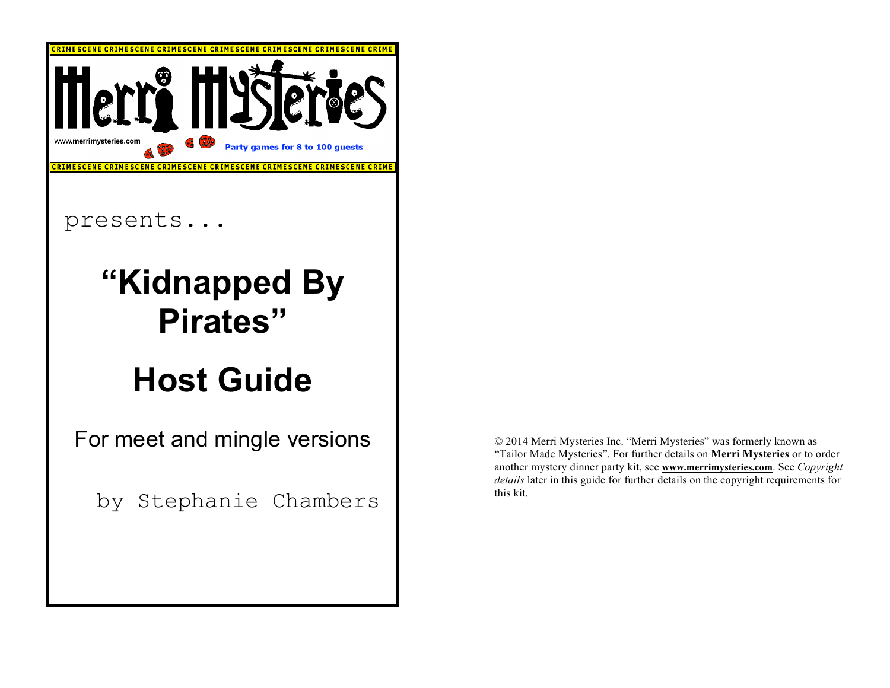

© 2014 Merri Mysteries Inc. "Merri Mysteries" was formerly known as "Tailor Made Mysteries". For further details on **Merri Mysteries** or to order another mystery dinner party kit, see **www.merrimysteries.com**. See *Copyright details* later in this guide for further details on the copyright requirements for this kit.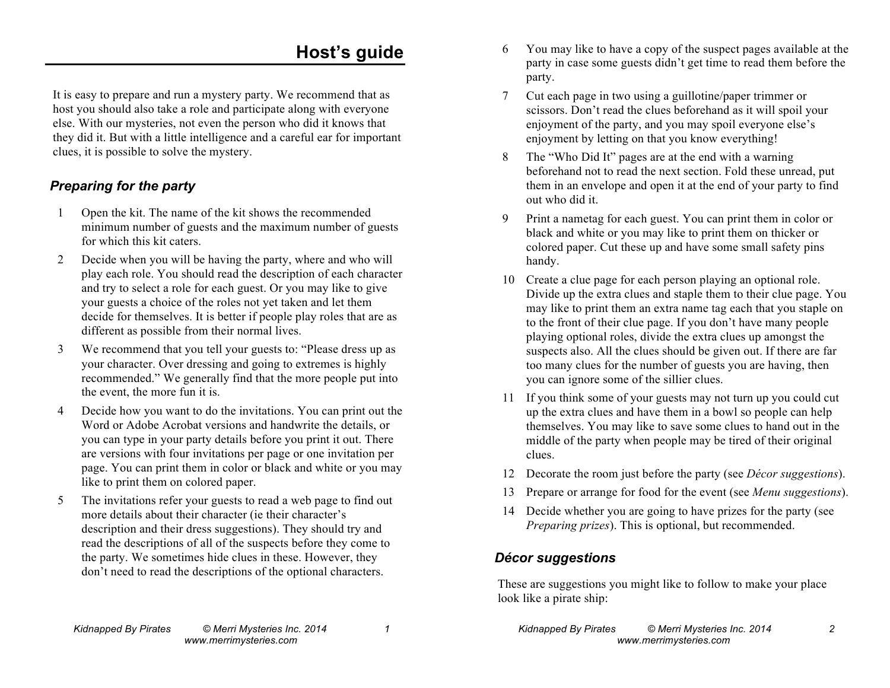# **Host's guide**

It is easy to prepare and run a mystery party. We recommend that as host you should also take a role and participate along with everyone else. With our mysteries, not even the person who did it knows that they did it. But with a little intelligence and a careful ear for important clues, it is possible to solve the mystery.

## *Preparing for the party*

- 1 Open the kit. The name of the kit shows the recommended minimum number of guests and the maximum number of guests for which this kit caters.
- 2 Decide when you will be having the party, where and who will play each role. You should read the description of each character and try to select a role for each guest. Or you may like to give your guests a choice of the roles not yet taken and let them decide for themselves. It is better if people play roles that are as different as possible from their normal lives.
- 3 We recommend that you tell your guests to: "Please dress up as your character. Over dressing and going to extremes is highly recommended." We generally find that the more people put into the event, the more fun it is.
- 4 Decide how you want to do the invitations. You can print out the Word or Adobe Acrobat versions and handwrite the details, or you can type in your party details before you print it out. There are versions with four invitations per page or one invitation per page. You can print them in color or black and white or you may like to print them on colored paper.
- 5 The invitations refer your guests to read a web page to find out more details about their character (ie their character's description and their dress suggestions). They should try and read the descriptions of all of the suspects before they come to the party. We sometimes hide clues in these. However, they don't need to read the descriptions of the optional characters.
- 6 You may like to have a copy of the suspect pages available at the party in case some guests didn't get time to read them before the party.
- 7 Cut each page in two using a guillotine/paper trimmer or scissors. Don't read the clues beforehand as it will spoil your enjoyment of the party, and you may spoil everyone else's enjoyment by letting on that you know everything!
- 8 The "Who Did It" pages are at the end with a warning beforehand not to read the next section. Fold these unread, put them in an envelope and open it at the end of your party to find out who did it.
- 9 Print a nametag for each guest. You can print them in color or black and white or you may like to print them on thicker or colored paper. Cut these up and have some small safety pins handy.
- 10 Create a clue page for each person playing an optional role. Divide up the extra clues and staple them to their clue page. You may like to print them an extra name tag each that you staple on to the front of their clue page. If you don't have many people playing optional roles, divide the extra clues up amongst the suspects also. All the clues should be given out. If there are far too many clues for the number of guests you are having, then you can ignore some of the sillier clues.
- 11 If you think some of your guests may not turn up you could cut up the extra clues and have them in a bowl so people can help themselves. You may like to save some clues to hand out in the middle of the party when people may be tired of their original clues.
- 12 Decorate the room just before the party (see *Décor suggestions*).
- 13 Prepare or arrange for food for the event (see *Menu suggestions*).
- 14 Decide whether you are going to have prizes for the party (see *Preparing prizes*). This is optional, but recommended.

### *Décor suggestions*

These are suggestions you might like to follow to make your place look like a pirate ship: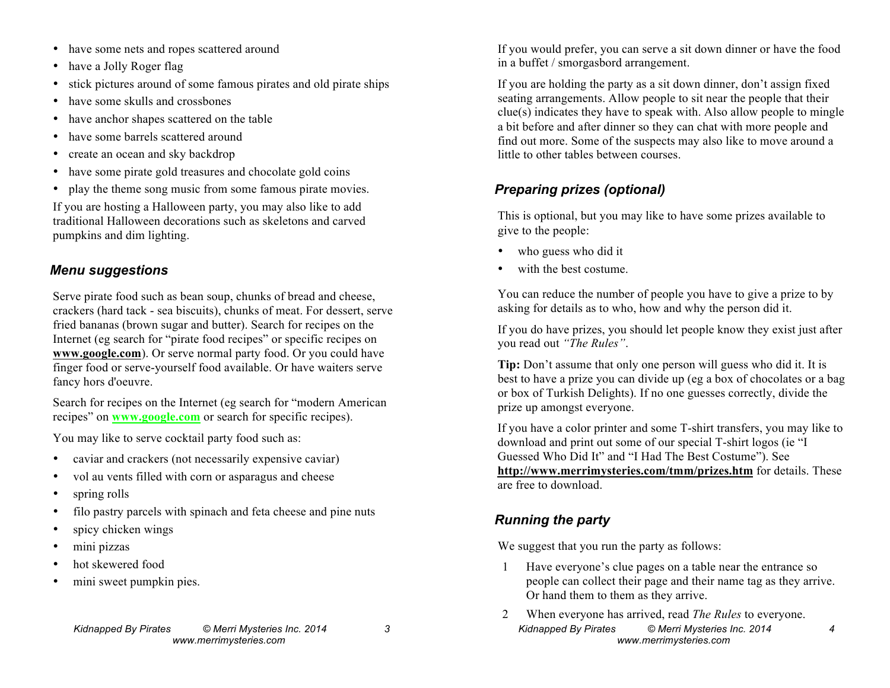- have some nets and ropes scattered around
- have a Jolly Roger flag
- stick pictures around of some famous pirates and old pirate ships
- have some skulls and crossbones
- have anchor shapes scattered on the table
- have some barrels scattered around
- create an ocean and sky backdrop
- have some pirate gold treasures and chocolate gold coins
- play the theme song music from some famous pirate movies.

If you are hosting a Halloween party, you may also like to add traditional Halloween decorations such as skeletons and carved pumpkins and dim lighting.

### *Menu suggestions*

Serve pirate food such as bean soup, chunks of bread and cheese, crackers (hard tack - sea biscuits), chunks of meat. For dessert, serve fried bananas (brown sugar and butter). Search for recipes on the Internet (eg search for "pirate food recipes" or specific recipes on **www.google.com**). Or serve normal party food. Or you could have finger food or serve-yourself food available. Or have waiters serve fancy hors d'oeuvre.

Search for recipes on the Internet (eg search for "modern American recipes" on **www.google.com** or search for specific recipes).

You may like to serve cocktail party food such as:

- caviar and crackers (not necessarily expensive caviar)
- vol au vents filled with corn or asparagus and cheese
- spring rolls
- filo pastry parcels with spinach and feta cheese and pine nuts
- spicy chicken wings
- mini pizzas
- hot skewered food
- mini sweet pumpkin pies.

If you would prefer, you can serve a sit down dinner or have the food in a buffet / smorgasbord arrangement.

If you are holding the party as a sit down dinner, don't assign fixed seating arrangements. Allow people to sit near the people that their clue(s) indicates they have to speak with. Also allow people to mingle a bit before and after dinner so they can chat with more people and find out more. Some of the suspects may also like to move around a little to other tables between courses.

# *Preparing prizes (optional)*

This is optional, but you may like to have some prizes available to give to the people:

- who guess who did it
- with the best costume.

You can reduce the number of people you have to give a prize to by asking for details as to who, how and why the person did it.

If you do have prizes, you should let people know they exist just after you read out *"The Rules"*.

**Tip:** Don't assume that only one person will guess who did it. It is best to have a prize you can divide up (eg a box of chocolates or a bag or box of Turkish Delights). If no one guesses correctly, divide the prize up amongst everyone.

If you have a color printer and some T-shirt transfers, you may like to download and print out some of our special T-shirt logos (ie "I Guessed Who Did It" and "I Had The Best Costume"). See **http://www.merrimysteries.com/tmm/prizes.htm** for details. These are free to download.

# *Running the party*

We suggest that you run the party as follows:

- 1 Have everyone's clue pages on a table near the entrance so people can collect their page and their name tag as they arrive. Or hand them to them as they arrive.
- *Kidnapped By Pirates © Merri Mysteries Inc. 2014 4 www.merrimysteries.com* 2 When everyone has arrived, read *The Rules* to everyone.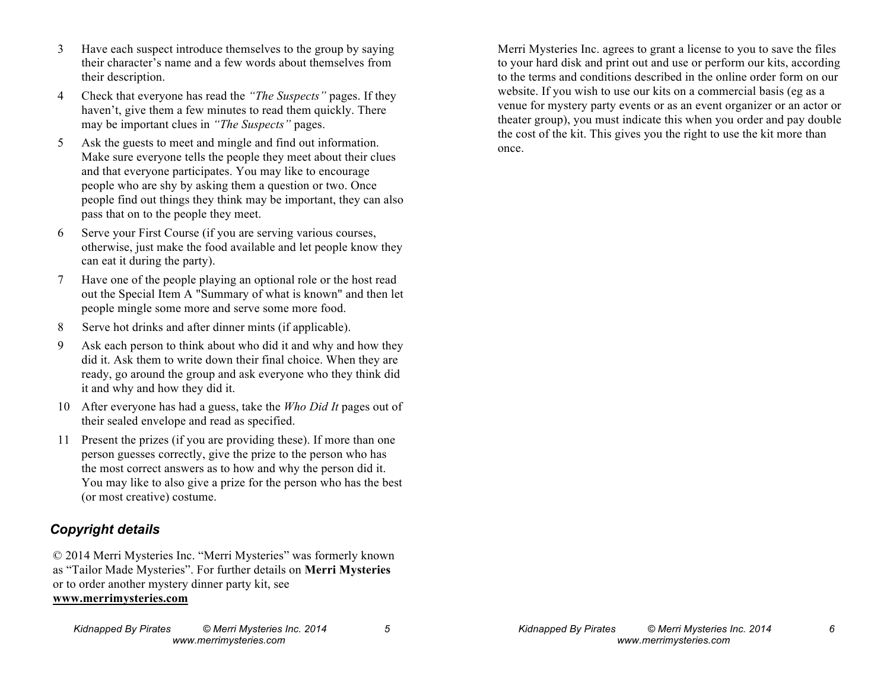- 3 Have each suspect introduce themselves to the group by saying their character's name and a few words about themselves from their description.
- 4 Check that everyone has read the *"The Suspects"* pages. If they haven't, give them a few minutes to read them quickly. There may be important clues in *"The Suspects"* pages.
- 5 Ask the guests to meet and mingle and find out information. Make sure everyone tells the people they meet about their clues and that everyone participates. You may like to encourage people who are shy by asking them a question or two. Once people find out things they think may be important, they can also pass that on to the people they meet.
- 6 Serve your First Course (if you are serving various courses, otherwise, just make the food available and let people know they can eat it during the party).
- 7 Have one of the people playing an optional role or the host read out the Special Item A "Summary of what is known" and then let people mingle some more and serve some more food.
- 8 Serve hot drinks and after dinner mints (if applicable).
- 9 Ask each person to think about who did it and why and how they did it. Ask them to write down their final choice. When they are ready, go around the group and ask everyone who they think did it and why and how they did it.
- 10 After everyone has had a guess, take the *Who Did It* pages out of their sealed envelope and read as specified.
- 11 Present the prizes (if you are providing these). If more than one person guesses correctly, give the prize to the person who has the most correct answers as to how and why the person did it. You may like to also give a prize for the person who has the best (or most creative) costume.

### *Copyright details*

© 2014 Merri Mysteries Inc. "Merri Mysteries" was formerly known as "Tailor Made Mysteries". For further details on **Merri Mysteries** or to order another mystery dinner party kit, see **www.merrimysteries.com**

Merri Mysteries Inc. agrees to grant a license to you to save the files to your hard disk and print out and use or perform our kits, according to the terms and conditions described in the online order form on our website. If you wish to use our kits on a commercial basis (eg as a venue for mystery party events or as an event organizer or an actor or theater group), you must indicate this when you order and pay double the cost of the kit. This gives you the right to use the kit more than once.